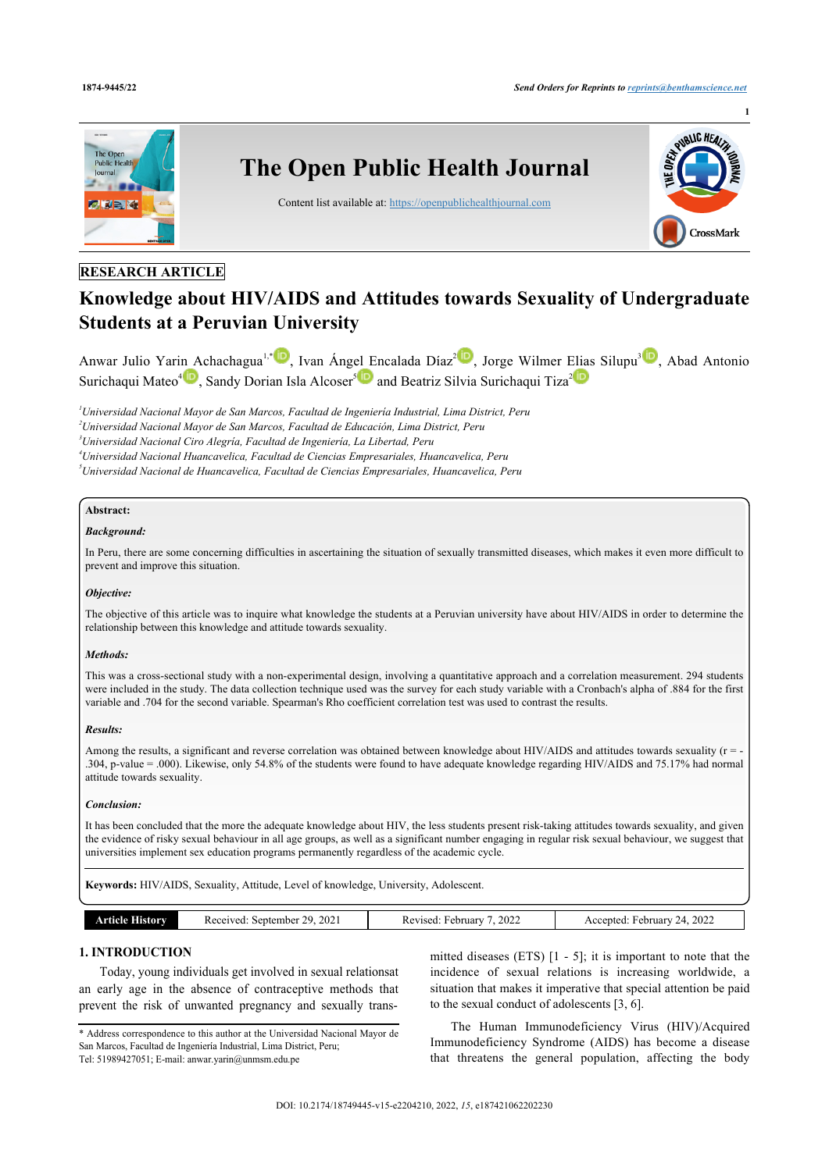

# **RESEARCH ARTICLE**

# **Knowledge about HIV/AIDS and Attitudes towards Sexuality of Undergraduate Students at a Peruvian University**

Anwar Julio Yarin Achachagua<sup>l, [1](#page-0-0)</sup>, Ivan Ángel Encalada Díaz<sup>[2](#page-0-2)10</sup>, Jorge Wilmer Elias Silupu<sup>[3](#page-0-3)10</sup>[,](http://orcid.org/0000-0002-0857-4258) Abad Antonio Surichaqui Mateo<sup>[4](#page-0-4)</sup><sup>10</sup>[,](http://orcid.org/0000-0002-3242-396X) Sandy Dorian Isla Alcoser<sup>[5](#page-0-5)</sup><sup>10</sup> and Beatriz Silvia Surichaqui Tiza<sup>[2](#page-0-2)</sup>

<span id="page-0-0"></span>*<sup>1</sup>Universidad Nacional Mayor de San Marcos, Facultad de Ingeniería Industrial, Lima District, Peru*

<span id="page-0-2"></span>*<sup>2</sup>Universidad Nacional Mayor de San Marcos, Facultad de Educación, Lima District, Peru*

<span id="page-0-3"></span>*<sup>3</sup>Universidad Nacional Ciro Alegría, Facultad de Ingeniería, La Libertad, Peru*

<span id="page-0-4"></span>*<sup>4</sup>Universidad Nacional Huancavelica, Facultad de Ciencias Empresariales, Huancavelica, Peru*

<span id="page-0-5"></span>*<sup>5</sup>Universidad Nacional de Huancavelica, Facultad de Ciencias Empresariales, Huancavelica, Peru*

# **Abstract:**

# *Background:*

In Peru, there are some concerning difficulties in ascertaining the situation of sexually transmitted diseases, which makes it even more difficult to prevent and improve this situation.

# *Objective:*

The objective of this article was to inquire what knowledge the students at a Peruvian university have about HIV/AIDS in order to determine the relationship between this knowledge and attitude towards sexuality.

# *Methods:*

This was a cross-sectional study with a non-experimental design, involving a quantitative approach and a correlation measurement. 294 students were included in the study. The data collection technique used was the survey for each study variable with a Cronbach's alpha of .884 for the first variable and .704 for the second variable. Spearman's Rho coefficient correlation test was used to contrast the results.

# *Results:*

Among the results, a significant and reverse correlation was obtained between knowledge about HIV/AIDS and attitudes towards sexuality ( $r = -$ .304, p-value = .000). Likewise, only 54.8% of the students were found to have adequate knowledge regarding HIV/AIDS and 75.17% had normal attitude towards sexuality.

# *Conclusion:*

It has been concluded that the more the adequate knowledge about HIV, the less students present risk-taking attitudes towards sexuality, and given the evidence of risky sexual behaviour in all age groups, as well as a significant number engaging in regular risk sexual behaviour, we suggest that universities implement sex education programs permanently regardless of the academic cycle.

**Keywords:** HIV/AIDS, Sexuality, Attitude, Level of knowledge, University, Adolescent.

| . | 202<br>20<br>711790<br>September<br>.<br>. | 2022<br>rebruar<br>71sec<br>" | 2022<br>$\epsilon$ ahruart<br>centeo.<br>Ac<br>- 14<br>$- - -$ |
|---|--------------------------------------------|-------------------------------|----------------------------------------------------------------|

# **1. INTRODUCTION**

Today, young individuals get involved in sexual relationsat an early age in the absence of contraceptive methods that prevent the risk of unwanted pregnancy and sexually trans-

mitted diseases (ETS) [[1](#page-6-0) - [5](#page-6-1)]; it is important to note that the incidence of sexual relations is increasing worldwide, a situation that makes it imperative that special attention be paid to the sexual conduct of adolescents [[3](#page-6-2), [6](#page-6-3)].

The Human Immunodeficiency Virus (HIV)/Acquired Immunodeficiency Syndrome (AIDS) has become a disease that threatens the general population, affecting the body

<span id="page-0-1"></span><sup>\*</sup> Address correspondence to this author at the Universidad Nacional Mayor de San Marcos, Facultad de Ingeniería Industrial, Lima District, Peru; Tel: 51989427051; E-mail: [anwar.yarin@unmsm.edu.pe](mailto:anwar.yarin@unmsm.edu.pe)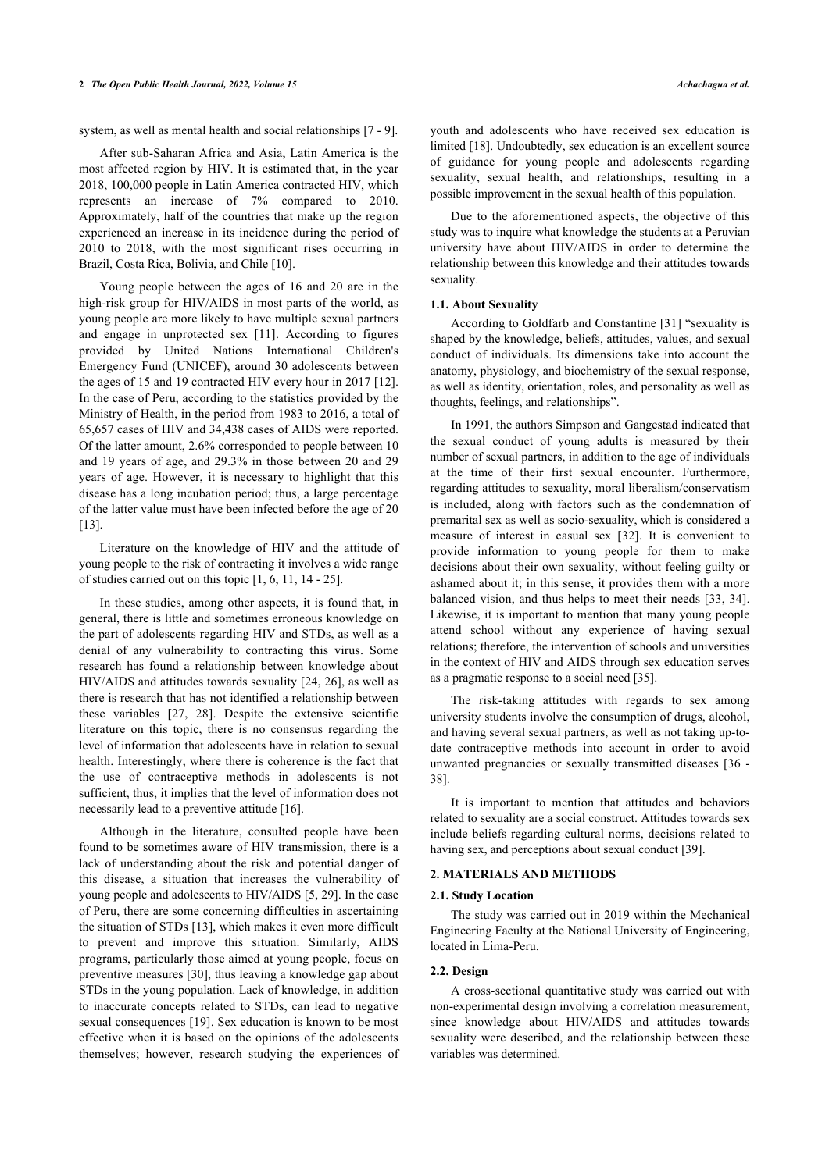system, as well as mental health and social relationships [\[7](#page-6-4) - [9\]](#page-6-5).

After sub-Saharan Africa and Asia, Latin America is the most affected region by HIV. It is estimated that, in the year 2018, 100,000 people in Latin America contracted HIV, which represents an increase of 7% compared to 2010. Approximately, half of the countries that make up the region experienced an increase in its incidence during the period of 2010 to 2018, with the most significant rises occurring in Brazil, Costa Rica, Bolivia, and Chile [[10\]](#page-6-6).

Young people between the ages of 16 and 20 are in the high-risk group for HIV/AIDS in most parts of the world, as young people are more likely to have multiple sexual partners and engage in unprotected sex[[11](#page-6-7)]. According to figures provided by United Nations International Children's Emergency Fund (UNICEF), around 30 adolescents between the ages of 15 and 19 contracted HIV every hour in 2017 [[12\]](#page-6-8). In the case of Peru, according to the statistics provided by the Ministry of Health, in the period from 1983 to 2016, a total of 65,657 cases of HIV and 34,438 cases of AIDS were reported. Of the latter amount, 2.6% corresponded to people between 10 and 19 years of age, and 29.3% in those between 20 and 29 years of age. However, it is necessary to highlight that this disease has a long incubation period; thus, a large percentage of the latter value must have been infected before the age of 20 [[13\]](#page-6-9).

Literature on the knowledge of HIV and the attitude of young people to the risk of contracting it involves a wide range of studies carried out on this topic [\[1,](#page-6-0) [6,](#page-6-3) [11](#page-6-7), [14](#page-6-10) - [25](#page-7-0)].

In these studies, among other aspects, it is found that, in general, there is little and sometimes erroneous knowledge on the part of adolescents regarding HIV and STDs, as well as a denial of any vulnerability to contracting this virus. Some research has found a relationship between knowledge about HIV/AIDS and attitudes towards sexuality [\[24](#page-7-1), [26](#page-7-2)], as well as there is research that has not identified a relationship between these variables[[27,](#page-7-3) [28\]](#page-7-4). Despite the extensive scientific literature on this topic, there is no consensus regarding the level of information that adolescents have in relation to sexual health. Interestingly, where there is coherence is the fact that the use of contraceptive methods in adolescents is not sufficient, thus, it implies that the level of information does not necessarily lead to a preventive attitude [\[16](#page-6-11)].

Although in the literature, consulted people have been found to be sometimes aware of HIV transmission, there is a lack of understanding about the risk and potential danger of this disease, a situation that increases the vulnerability of young people and adolescents to HIV/AIDS [[5](#page-6-1), [29\]](#page-7-5). In the case of Peru, there are some concerning difficulties in ascertaining the situation of STDs [[13\]](#page-6-9), which makes it even more difficult to prevent and improve this situation. Similarly, AIDS programs, particularly those aimed at young people, focus on preventive measures [\[30](#page-7-6)], thus leaving a knowledge gap about STDs in the young population. Lack of knowledge, in addition to inaccurate concepts related to STDs, can lead to negative sexual consequences [\[19](#page-6-12)]. Sex education is known to be most effective when it is based on the opinions of the adolescents themselves; however, research studying the experiences of youth and adolescents who have received sex education is limited [\[18](#page-6-13)]. Undoubtedly, sex education is an excellent source of guidance for young people and adolescents regarding sexuality, sexual health, and relationships, resulting in a possible improvement in the sexual health of this population.

Due to the aforementioned aspects, the objective of this study was to inquire what knowledge the students at a Peruvian university have about HIV/AIDS in order to determine the relationship between this knowledge and their attitudes towards sexuality.

#### **1.1. About Sexuality**

According to Goldfarb and Constantine [\[31\]](#page-7-7) "sexuality is shaped by the knowledge, beliefs, attitudes, values, and sexual conduct of individuals. Its dimensions take into account the anatomy, physiology, and biochemistry of the sexual response, as well as identity, orientation, roles, and personality as well as thoughts, feelings, and relationships".

In 1991, the authors Simpson and Gangestad indicated that the sexual conduct of young adults is measured by their number of sexual partners, in addition to the age of individuals at the time of their first sexual encounter. Furthermore, regarding attitudes to sexuality, moral liberalism/conservatism is included, along with factors such as the condemnation of premarital sex as well as socio-sexuality, which is considered a measure of interest in casual sex[[32](#page-7-8)]. It is convenient to provide information to young people for them to make decisions about their own sexuality, without feeling guilty or ashamed about it; in this sense, it provides them with a more balanced vision, and thus helps to meet their needs [\[33,](#page-7-9) [34](#page-7-10)]. Likewise, it is important to mention that many young people attend school without any experience of having sexual relations; therefore, the intervention of schools and universities in the context of HIV and AIDS through sex education serves as a pragmatic response to a social need [[35\]](#page-7-11).

The risk-taking attitudes with regards to sex among university students involve the consumption of drugs, alcohol, and having several sexual partners, as well as not taking up-todate contraceptive methods into account in order to avoid unwanted pregnancies or sexually transmitted diseases [[36](#page-7-12) - [38\]](#page-7-13).

It is important to mention that attitudes and behaviors related to sexuality are a social construct. Attitudes towards sex include beliefs regarding cultural norms, decisions related to having sex, and perceptions about sexual conduct [\[39](#page-7-3)].

# **2. MATERIALS AND METHODS**

#### **2.1. Study Location**

The study was carried out in 2019 within the Mechanical Engineering Faculty at the National University of Engineering, located in Lima-Peru.

#### **2.2. Design**

A cross-sectional quantitative study was carried out with non-experimental design involving a correlation measurement, since knowledge about HIV/AIDS and attitudes towards sexuality were described, and the relationship between these variables was determined.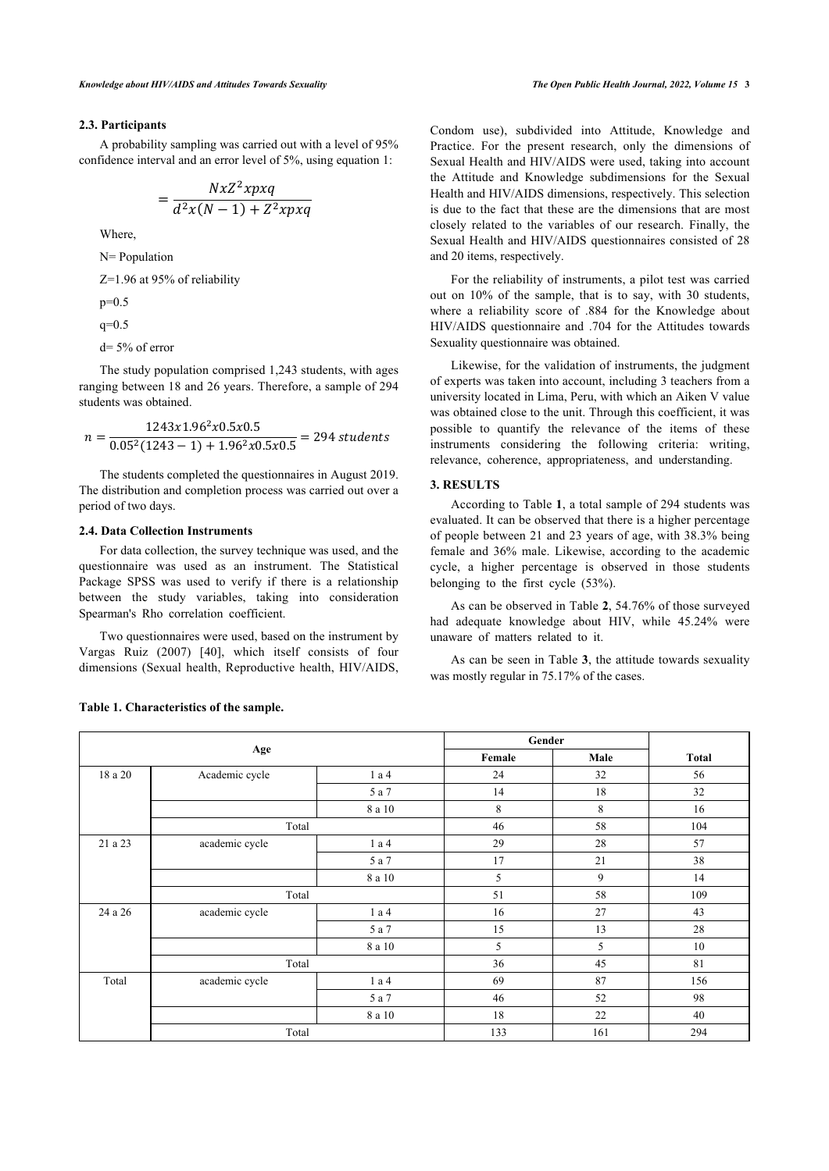# **2.3. Participants**

A probability sampling was carried out with a level of 95% confidence interval and an error level of 5%, using equation 1:

$$
=\frac{NxZ^2xpxq}{d^2x(N-1)+Z^2xpxq}
$$

Where,

N= Population

Z=1.96 at 95% of reliability

 $p=0.5$ 

 $q=0.5$ 

d= 5% of error

The study population comprised 1,243 students, with ages ranging between 18 and 26 years. Therefore, a sample of 294 students was obtained.

$$
n = \frac{1243x1.96^2x0.5x0.5}{0.05^2(1243 - 1) + 1.96^2x0.5x0.5} = 294
$$
 students

The students completed the questionnaires in August 2019. The distribution and completion process was carried out over a period of two days.

# **2.4. Data Collection Instruments**

For data collection, the survey technique was used, and the questionnaire was used as an instrument. The Statistical Package SPSS was used to verify if there is a relationship between the study variables, taking into consideration Spearman's Rho correlation coefficient.

Two questionnaires were used, based on the instrument by Vargas Ruiz (2007)[[40\]](#page-7-14), which itself consists of four dimensions (Sexual health, Reproductive health, HIV/AIDS, Condom use), subdivided into Attitude, Knowledge and Practice. For the present research, only the dimensions of Sexual Health and HIV/AIDS were used, taking into account the Attitude and Knowledge subdimensions for the Sexual Health and HIV/AIDS dimensions, respectively. This selection is due to the fact that these are the dimensions that are most closely related to the variables of our research. Finally, the Sexual Health and HIV/AIDS questionnaires consisted of 28 and 20 items, respectively.

For the reliability of instruments, a pilot test was carried out on 10% of the sample, that is to say, with 30 students, where a reliability score of .884 for the Knowledge about HIV/AIDS questionnaire and .704 for the Attitudes towards Sexuality questionnaire was obtained.

Likewise, for the validation of instruments, the judgment of experts was taken into account, including 3 teachers from a university located in Lima, Peru, with which an Aiken V value was obtained close to the unit. Through this coefficient, it was possible to quantify the relevance of the items of these instruments considering the following criteria: writing, relevance, coherence, appropriateness, and understanding.

# **3. RESULTS**

According to Table **[1](#page-2-0)**, a total sample of 294 students was evaluated. It can be observed that there is a higher percentage of people between 21 and 23 years of age, with 38.3% being female and 36% male. Likewise, according to the academic cycle, a higher percentage is observed in those students belonging to the first cycle (53%).

As can be observed in Table **[2](#page-2-1)**, 54.76% of those surveyed had adequate knowledge about HIV, while 45.24% were unaware of matters related to it.

As can be seen in Table **[3](#page-3-0)**, the attitude towards sexuality was mostly regular in 75.17% of the cases.

<span id="page-2-1"></span>

|         |                |              | Gender  |      |              |
|---------|----------------|--------------|---------|------|--------------|
|         | Age            |              | Female  | Male | <b>Total</b> |
| 18 a 20 | Academic cycle | 1 a 4        | 24      | 32   | 56           |
|         |                | 5 a 7        | 14      | 18   | 32           |
|         |                | $8$ a $10\,$ | $\,8\,$ | 8    | 16           |
|         | Total          |              | 46      | 58   | 104          |
| 21 a 23 | academic cycle | 1 a 4        | 29      | 28   | 57           |
|         |                | 5 a 7        | 17      | 21   | 38           |
|         |                | 8 a 10       | 5       | 9    | 14           |
|         | Total          |              | 51      | 58   | 109          |
| 24 a 26 | academic cycle | 1 a 4        | 16      | 27   | 43           |
|         |                | 5 a 7        | 15      | 13   | 28           |
|         |                | 8 a 10       | 5       | 5    | 10           |
|         | Total          |              | 36      | 45   | 81           |
| Total   | academic cycle | 1 a 4        | 69      | 87   | 156          |
|         |                | 5 a 7        | 46      | 52   | 98           |
|         |                | 8 a 10       | 18      | 22   | 40           |
|         | Total          |              | 133     | 161  | 294          |

# <span id="page-2-0"></span>**Table 1. Characteristics of the sample.**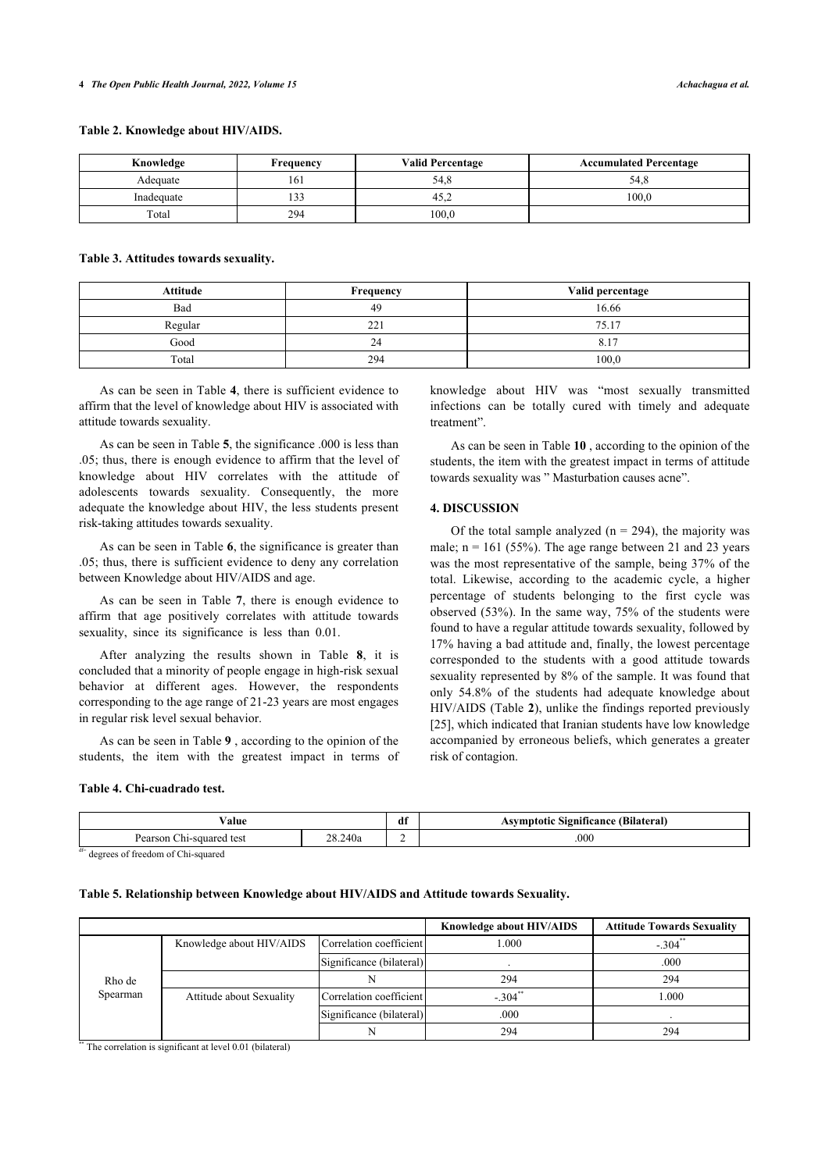# **Table 2. Knowledge about HIV/AIDS.**

| Knowledge  | Frequency                       | <b>Valid Percentage</b> | <b>Accumulated Percentage</b> |
|------------|---------------------------------|-------------------------|-------------------------------|
| Adequate   | 161                             | 54,8                    | 54,8                          |
| Inadequate | $\overline{\phantom{a}}$<br>133 | 45.4                    | 100.0                         |
| Total      | 294                             | 100,0                   |                               |

# <span id="page-3-0"></span>**Table 3. Attitudes towards sexuality.**

| <b>Attitude</b> | Frequency | Valid percentage |
|-----------------|-----------|------------------|
| Bad             | 49        | 16.66            |
| Regular         | 221       | 75.17            |
| Good            | 24        | $8.1^{-}$        |
| Total           | 294       | 100.0            |

As can be seen in Table **[4](#page-3-1)**, there is sufficient evidence to affirm that the level of knowledge about HIV is associated with attitude towards sexuality.

As can be seen in Table **[5](#page-3-2)**, the significance .000 is less than .05; thus, there is enough evidence to affirm that the level of knowledge about HIV correlates with the attitude of adolescents towards sexuality. Consequently, the more adequate the knowledge about HIV, the less students present risk-taking attitudes towards sexuality.

As can be seen in Table **[6](#page-4-0)**, the significance is greater than .05; thus, there is sufficient evidence to deny any correlation between Knowledge about HIV/AIDS and age.

As can be seen in Table**7**, there is enough evidence to affirm that age positively correlates with attitude towards sexuality, since its significance is less than 0.01.

After analyzing the results shown in Table**8**, it is concluded that a minority of people engage in high-risk sexual behavior at different ages. However, the respondents corresponding to the age range of 21-23 years are most engages in regular risk level sexual behavior.

As can be seen in Table **[9](#page-4-3)** , according to the opinion of the students, the item with the greatest impact in terms of

# <span id="page-3-1"></span>**Table 4. Chi-cuadrado test.**

knowledge about HIV was "most sexually transmitted infections can be totally cured with timely and adequate treatment".

As can be seen in Table **[10](#page-4-4)** , according to the opinion of the students, the item with the greatest impact in terms of attitude towards sexuality was " Masturbation causes acne".

# **4. DISCUSSION**

Of the total sample analyzed ( $n = 294$ ), the majority was male;  $n = 161$  (55%). The age range between 21 and 23 years was the most representative of the sample, being 37% of the total. Likewise, according to the academic cycle, a higher percentage of students belonging to the first cycle was observed (53%). In the same way, 75% of the students were found to have a regular attitude towards sexuality, followed by 17% having a bad attitude and, finally, the lowest percentage corresponded to the students with a good attitude towards sexuality represented by 8% of the sample. It was found that only 54.8% of the students had adequate knowledge about HIV/AIDS (Table **[2](#page-2-1)**), unlike the findings reported previously [[25](#page-7-0)], which indicated that Iranian students have low knowledge accompanied by erroneous beliefs, which generates a greater risk of contagion.

| 'alue                                        |      | df<br>$-$ | $\bullet$<br>ïcance<br>'Bilateral.<br>$\sqrt{10}$ |
|----------------------------------------------|------|-----------|---------------------------------------------------|
| Pearsor<br>$\gamma$ quareo.<br>test<br>-1115 | 240a |           | .000                                              |
| $A \rightarrow A$<br>----<br>.               |      |           |                                                   |

df<sup>=</sup> degrees of freedom of Chi-squared

#### <span id="page-3-2"></span>**Table 5. Relationship between Knowledge about HIV/AIDS and Attitude towards Sexuality.**

|          |                          |                          | Knowledge about HIV/AIDS | <b>Attitude Towards Sexuality</b> |
|----------|--------------------------|--------------------------|--------------------------|-----------------------------------|
|          | Knowledge about HIV/AIDS | Correlation coefficient  | 1.000                    | $-304$ <sup>*</sup>               |
|          |                          | Significance (bilateral) |                          | .000                              |
| Rho de   |                          |                          | 294                      | 294                               |
| Spearman | Attitude about Sexuality | Correlation coefficient  | $-.304$ **               | 1.000                             |
|          |                          | Significance (bilateral) | .000                     |                                   |
|          |                          |                          | 294                      | 294                               |

\*\*\* The correlation is significant at level 0.01 (bilateral)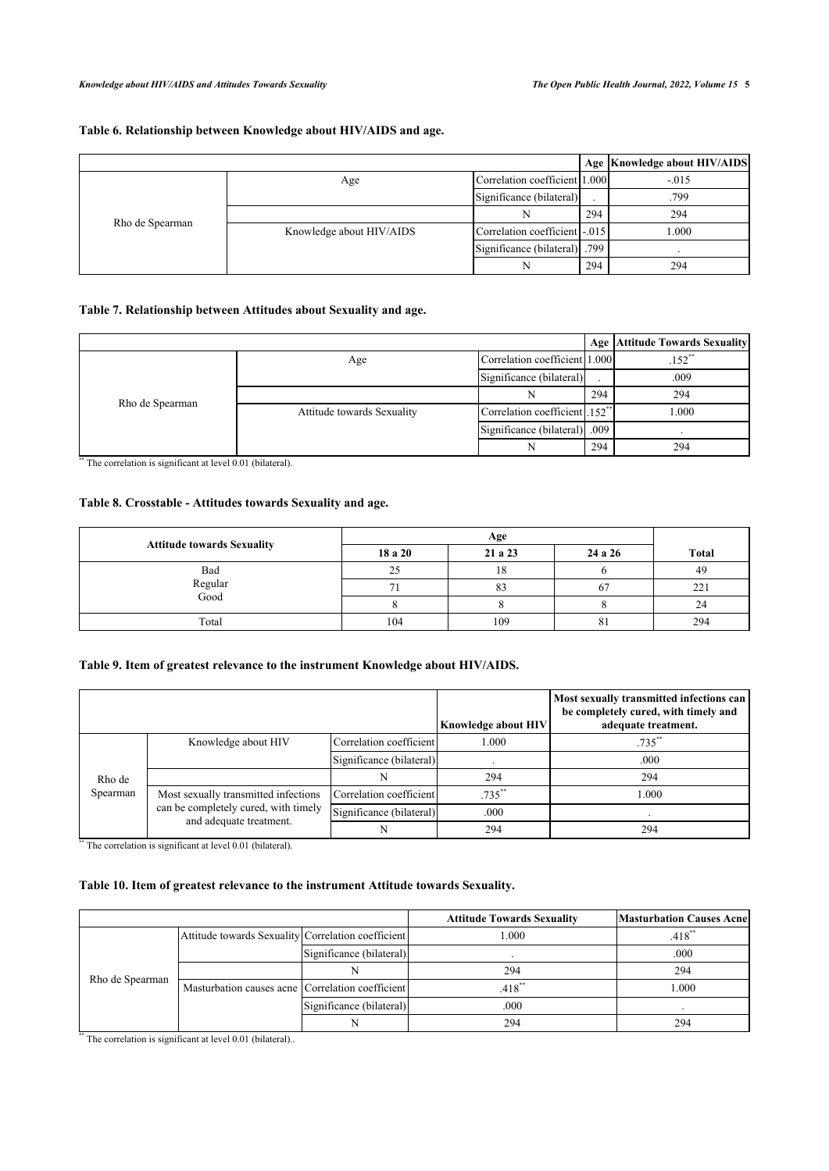# <span id="page-4-0"></span>**Table 6. Relationship between Knowledge about HIV/AIDS and age.**

|                 |                          |                               |     | Age   Knowledge about HIV/AIDS |
|-----------------|--------------------------|-------------------------------|-----|--------------------------------|
|                 | Age                      | Correlation coefficient 1.000 |     | $-.015$                        |
|                 |                          | Significance (bilateral)      |     | .799                           |
|                 |                          |                               | 294 | 294                            |
| Rho de Spearman | Knowledge about HIV/AIDS | Correlation coefficient -.015 |     | 1.000                          |
|                 |                          | Significance (bilateral) 799  |     |                                |
|                 |                          | N                             | 294 | 294                            |

# <span id="page-4-1"></span>**Table 7. Relationship between Attitudes about Sexuality and age.**

|                 |                            |                                           |     | <b>Age Attitude Towards Sexuality</b> |
|-----------------|----------------------------|-------------------------------------------|-----|---------------------------------------|
|                 | Age                        | Correlation coefficient 1.000             |     | $.152$ **                             |
|                 |                            | Significance (bilateral)                  |     | .009                                  |
|                 |                            |                                           | 294 | 294                                   |
| Rho de Spearman | Attitude towards Sexuality | Correlation coefficient 152 <sup>**</sup> |     | 1.000                                 |
|                 |                            | Significance (bilateral) .009             |     |                                       |
|                 |                            |                                           | 294 | 294                                   |

\*\*\* The correlation is significant at level 0.01 (bilateral).

# <span id="page-4-2"></span>**Table 8. Crosstable - Attitudes towards Sexuality and age.**

| <b>Attitude towards Sexuality</b> | 18 a 20 | 21 a 23 | 24 a 26 | <b>Total</b> |
|-----------------------------------|---------|---------|---------|--------------|
| Bad                               | 25      | 18      |         | 49           |
| Regular<br>Good                   |         | రు      | O.      | 221          |
|                                   |         |         |         |              |
| Total                             | 104     | 109     | 81      | 294          |

# <span id="page-4-3"></span>**Table 9. Item of greatest relevance to the instrument Knowledge about HIV/AIDS.**

|          |                                                                 |                          | <b>Knowledge about HIV</b> | Most sexually transmitted infections can<br>be completely cured, with timely and<br>adequate treatment. |
|----------|-----------------------------------------------------------------|--------------------------|----------------------------|---------------------------------------------------------------------------------------------------------|
|          | Knowledge about HIV                                             | Correlation coefficient  | 1.000                      | $.735$ <sup>**</sup>                                                                                    |
|          |                                                                 | Significance (bilateral) |                            | .000                                                                                                    |
| Rho de   |                                                                 |                          | 294                        | 294                                                                                                     |
| Spearman | Most sexually transmitted infections                            | Correlation coefficient  | $.735***$                  | 000.1                                                                                                   |
|          | can be completely cured, with timely<br>and adequate treatment. | Significance (bilateral) | .000                       |                                                                                                         |
|          |                                                                 |                          | 294                        | 294                                                                                                     |

\*\* The correlation is significant at level 0.01 (bilateral).

# <span id="page-4-4"></span>**Table 10. Item of greatest relevance to the instrument Attitude towards Sexuality.**

|                 |                                                    |                          | <b>Attitude Towards Sexuality</b> | <b>Masturbation Causes Acnel</b> |
|-----------------|----------------------------------------------------|--------------------------|-----------------------------------|----------------------------------|
|                 | Attitude towards Sexuality Correlation coefficient |                          | .000                              | $.418$ <sup>**</sup>             |
|                 |                                                    | Significance (bilateral) |                                   | .000                             |
|                 |                                                    |                          | 294                               | 294                              |
| Rho de Spearman | Masturbation causes acne Correlation coefficient   |                          | $.418$ <sup>**</sup>              | .000                             |
|                 |                                                    | Significance (bilateral) | .000                              |                                  |
|                 |                                                    |                          | 294                               | 294                              |

<span id="page-4-5"></span>\*\* The correlation is significant at level 0.01 (bilateral)..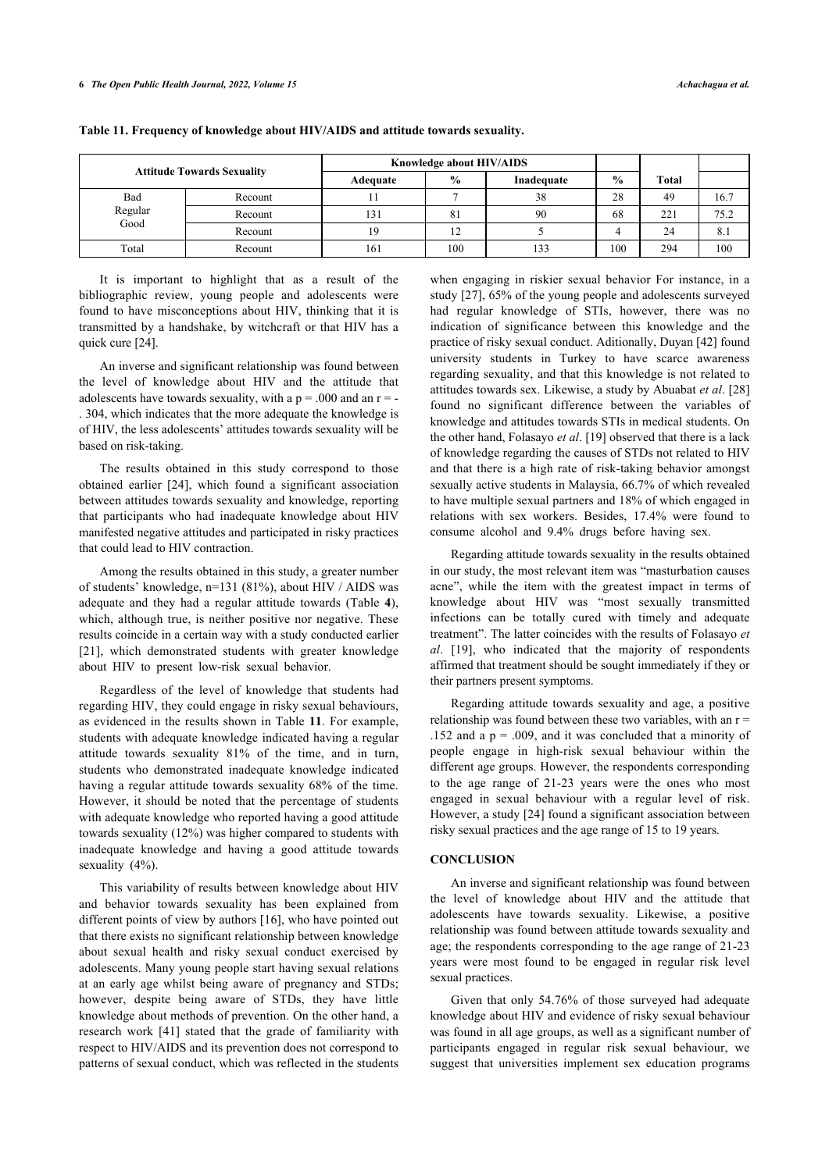| <b>Attitude Towards Sexuality</b> |         | Knowledge about HIV/AIDS |               |            |               |       |      |
|-----------------------------------|---------|--------------------------|---------------|------------|---------------|-------|------|
|                                   |         | Adequate                 | $\frac{6}{9}$ | Inadequate | $\frac{0}{0}$ | Total |      |
| Bad                               | Recount |                          |               | 38         | 28            | 49    | 16.7 |
| Regular                           | Recount | 131                      | 81            | 90         | 68            | 221   | 75.2 |
| Good                              | Recount |                          | 12            |            |               | 24    | 8.1  |
| Total                             | Recount | 161                      | 100           | 133        | 100           | 294   | 100  |

**Table 11. Frequency of knowledge about HIV/AIDS and attitude towards sexuality.**

It is important to highlight that as a result of the bibliographic review, young people and adolescents were found to have misconceptions about HIV, thinking that it is transmitted by a handshake, by witchcraft or that HIV has a quick cure [[24\]](#page-7-1).

An inverse and significant relationship was found between the level of knowledge about HIV and the attitude that adolescents have towards sexuality, with a  $p = .000$  and an  $r = -$ . 304, which indicates that the more adequate the knowledge is of HIV, the less adolescents' attitudes towards sexuality will be based on risk-taking.

The results obtained in this study correspond to those obtained earlier [\[24\]](#page-7-1), which found a significant association between attitudes towards sexuality and knowledge, reporting that participants who had inadequate knowledge about HIV manifested negative attitudes and participated in risky practices that could lead to HIV contraction.

Among the results obtained in this study, a greater number of students' knowledge, n=131 (81%), about HIV / AIDS was adequate and they had a regular attitude towards (Table**4**), which, although true, is neither positive nor negative. These results coincide in a certain way with a study conducted earlier [[21\]](#page-7-15), which demonstrated students with greater knowledge about HIV to present low-risk sexual behavior.

Regardless of the level of knowledge that students had regarding HIV, they could engage in risky sexual behaviours, as evidenced in the results shown in Table **[11](#page-4-5)**. For example, students with adequate knowledge indicated having a regular attitude towards sexuality 81% of the time, and in turn, students who demonstrated inadequate knowledge indicated having a regular attitude towards sexuality 68% of the time. However, it should be noted that the percentage of students with adequate knowledge who reported having a good attitude towards sexuality (12%) was higher compared to students with inadequate knowledge and having a good attitude towards sexuality (4%).

This variability of results between knowledge about HIV and behavior towards sexuality has been explained from different points of view by authors [[16](#page-6-11)], who have pointed out that there exists no significant relationship between knowledge about sexual health and risky sexual conduct exercised by adolescents. Many young people start having sexual relations at an early age whilst being aware of pregnancy and STDs; however, despite being aware of STDs, they have little knowledge about methods of prevention. On the other hand, a research work[[41](#page-7-4)] stated that the grade of familiarity with respect to HIV/AIDS and its prevention does not correspond to patterns of sexual conduct, which was reflected in the students

when engaging in riskier sexual behavior For instance, in a study [\[27](#page-7-3)], 65% of the young people and adolescents surveyed had regular knowledge of STIs, however, there was no indication of significance between this knowledge and the practice of risky sexual conduct. Aditionally, Duyan [\[42](#page-7-16)] found university students in Turkey to have scarce awareness regarding sexuality, and that this knowledge is not related to attitudes towards sex. Likewise, a study by Abuabat *et al*. [\[28\]](#page-7-4) found no significant difference between the variables of knowledge and attitudes towards STIs in medical students. On the other hand, Folasayo *et al*. [[19\]](#page-6-12) observed that there is a lack of knowledge regarding the causes of STDs not related to HIV and that there is a high rate of risk-taking behavior amongst sexually active students in Malaysia, 66.7% of which revealed to have multiple sexual partners and 18% of which engaged in relations with sex workers. Besides, 17.4% were found to consume alcohol and 9.4% drugs before having sex.

Regarding attitude towards sexuality in the results obtained in our study, the most relevant item was "masturbation causes acne", while the item with the greatest impact in terms of knowledge about HIV was "most sexually transmitted infections can be totally cured with timely and adequate treatment". The latter coincides with the results of Folasayo *et al*. [\[19](#page-6-12)], who indicated that the majority of respondents affirmed that treatment should be sought immediately if they or their partners present symptoms.

Regarding attitude towards sexuality and age, a positive relationship was found between these two variables, with an  $r =$ .152 and a  $p = .009$ , and it was concluded that a minority of people engage in high-risk sexual behaviour within the different age groups. However, the respondents corresponding to the age range of 21-23 years were the ones who most engaged in sexual behaviour with a regular level of risk. However, a study [[24](#page-7-1)] found a significant association between risky sexual practices and the age range of 15 to 19 years.

# **CONCLUSION**

An inverse and significant relationship was found between the level of knowledge about HIV and the attitude that adolescents have towards sexuality. Likewise, a positive relationship was found between attitude towards sexuality and age; the respondents corresponding to the age range of 21-23 years were most found to be engaged in regular risk level sexual practices.

Given that only 54.76% of those surveyed had adequate knowledge about HIV and evidence of risky sexual behaviour was found in all age groups, as well as a significant number of participants engaged in regular risk sexual behaviour, we suggest that universities implement sex education programs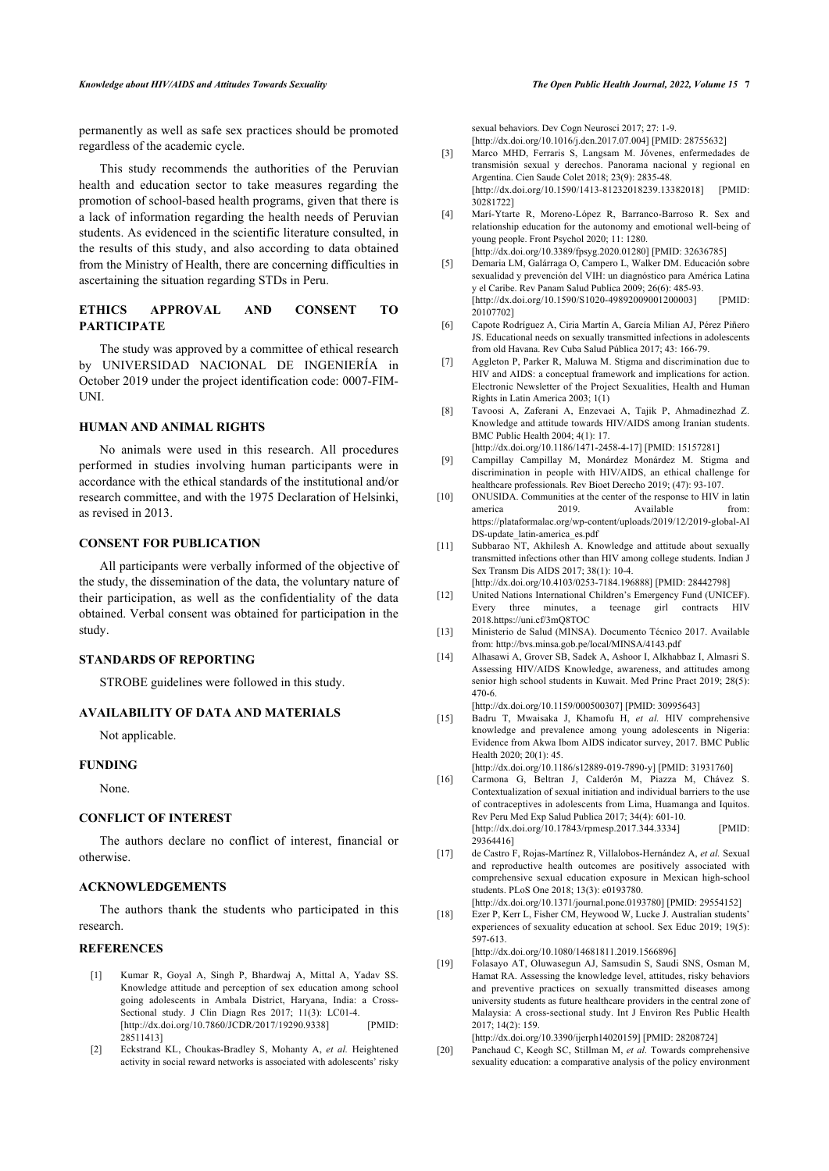#### *Knowledge about HIV/AIDS and Attitudes Towards Sexuality The Open Public Health Journal, 2022, Volume 15* **7**

permanently as well as safe sex practices should be promoted regardless of the academic cycle.

<span id="page-6-2"></span>This study recommends the authorities of the Peruvian health and education sector to take measures regarding the promotion of school-based health programs, given that there is a lack of information regarding the health needs of Peruvian students. As evidenced in the scientific literature consulted, in the results of this study, and also according to data obtained from the Ministry of Health, there are concerning difficulties in ascertaining the situation regarding STDs in Peru.

# <span id="page-6-3"></span><span id="page-6-1"></span>**ETHICS APPROVAL AND CONSENT TO PARTICIPATE**

<span id="page-6-4"></span>The study was approved by a committee of ethical research by UNIVERSIDAD NACIONAL DE INGENIERÍA in October 2019 under the project identification code: 0007-FIM-UNI.

# **HUMAN AND ANIMAL RIGHTS**

<span id="page-6-5"></span>No animals were used in this research. All procedures performed in studies involving human participants were in accordance with the ethical standards of the institutional and/or research committee, and with the 1975 Declaration of Helsinki, as revised in 2013.

# <span id="page-6-7"></span><span id="page-6-6"></span>**CONSENT FOR PUBLICATION**

<span id="page-6-8"></span>All participants were verbally informed of the objective of the study, the dissemination of the data, the voluntary nature of their participation, as well as the confidentiality of the data obtained. Verbal consent was obtained for participation in the study.

#### <span id="page-6-10"></span><span id="page-6-9"></span>**STANDARDS OF REPORTING**

STROBE guidelines were followed in this study.

# **AVAILABILITY OF DATA AND MATERIALS**

Not applicable.

# <span id="page-6-11"></span>**FUNDING**

None.

# **CONFLICT OF INTEREST**

The authors declare no conflict of interest, financial or otherwise.

#### **ACKNOWLEDGEMENTS**

<span id="page-6-13"></span>The authors thank the students who participated in this research.

#### <span id="page-6-12"></span><span id="page-6-0"></span>**REFERENCES**

- [1] Kumar R, Goyal A, Singh P, Bhardwaj A, Mittal A, Yadav SS. Knowledge attitude and perception of sex education among school going adolescents in Ambala District, Haryana, India: a Cross-Sectional study. J Clin Diagn Res 2017; 11(3): LC01-4. [\[http://dx.doi.org/10.7860/JCDR/2017/19290.9338](http://dx.doi.org/10.7860/JCDR/2017/19290.9338)] [PMID: [28511413\]](http://www.ncbi.nlm.nih.gov/pubmed/28511413)
- [2] Eckstrand KL, Choukas-Bradley S, Mohanty A, *et al.* Heightened activity in social reward networks is associated with adolescents' risky

sexual behaviors. Dev Cogn Neurosci 2017; 27: 1-9. [\[http://dx.doi.org/10.1016/j.dcn.2017.07.004](http://dx.doi.org/10.1016/j.dcn.2017.07.004)] [PMID: [28755632\]](http://www.ncbi.nlm.nih.gov/pubmed/28755632)

- [3] Marco MHD, Ferraris S, Langsam M. Jóvenes, enfermedades de transmisión sexual y derechos. Panorama nacional y regional en Argentina. Cien Saude Colet 2018; 23(9): 2835-48. [\[http://dx.doi.org/10.1590/1413-81232018239.13382018](http://dx.doi.org/10.1590/1413-81232018239.13382018)] [PMID: [30281722\]](http://www.ncbi.nlm.nih.gov/pubmed/30281722)
- [4] Marí-Ytarte R, Moreno-López R, Barranco-Barroso R. Sex and relationship education for the autonomy and emotional well-being of young people. Front Psychol 2020; 11: 1280.

[\[http://dx.doi.org/10.3389/fpsyg.2020.01280](http://dx.doi.org/10.3389/fpsyg.2020.01280)] [PMID: [32636785\]](http://www.ncbi.nlm.nih.gov/pubmed/32636785)

- [5] Demaria LM, Galárraga O, Campero L, Walker DM. Educación sobre sexualidad y prevención del VIH: un diagnóstico para América Latina y el Caribe. Rev Panam Salud Publica 2009; 26(6): 485-93. [\[http://dx.doi.org/10.1590/S1020-49892009001200003](http://dx.doi.org/10.1590/S1020-49892009001200003)] [PMID: [20107702\]](http://www.ncbi.nlm.nih.gov/pubmed/20107702)
- [6] Capote Rodríguez A, Ciria Martín A, García Milian AJ, Pérez Piñero JS. Educational needs on sexually transmitted infections in adolescents from old Havana. Rev Cuba Salud Pública 2017; 43: 166-79.
- [7] Aggleton P, Parker R, Maluwa M. Stigma and discrimination due to HIV and AIDS: a conceptual framework and implications for action. Electronic Newsletter of the Project Sexualities, Health and Human Rights in Latin America 2003; 1(1)
- [8] Tavoosi A, Zaferani A, Enzevaei A, Tajik P, Ahmadinezhad Z. Knowledge and attitude towards HIV/AIDS among Iranian students. BMC Public Health 2004; 4(1): 17.

[\[http://dx.doi.org/10.1186/1471-2458-4-17\]](http://dx.doi.org/10.1186/1471-2458-4-17) [PMID: [15157281\]](http://www.ncbi.nlm.nih.gov/pubmed/15157281)

- [9] Campillay Campillay M, Monárdez Monárdez M. Stigma and discrimination in people with HIV/AIDS, an ethical challenge for healthcare professionals. Rev Bioet Derecho 2019; (47): 93-107.
- [10] ONUSIDA. Communities at the center of the response to HIV in latin america 2019. Available from: [https://plataformalac.org/wp-content/uploads/2019/12/2019-global-AI](https://plataformalac.org/wp-content/uploads/2019/12/2019-global-AIDS-update_latin-america_es.pdf) [DS-update\\_latin-america\\_es.pdf](https://plataformalac.org/wp-content/uploads/2019/12/2019-global-AIDS-update_latin-america_es.pdf)
- [11] Subbarao NT, Akhilesh A. Knowledge and attitude about sexually transmitted infections other than HIV among college students. Indian J Sex Transm Dis AIDS 2017; 38(1): 10-4.
- [\[http://dx.doi.org/10.4103/0253-7184.196888\]](http://dx.doi.org/10.4103/0253-7184.196888) [PMID: [28442798](http://www.ncbi.nlm.nih.gov/pubmed/28442798)]
- [12] United Nations International Children's Emergency Fund (UNICEF). Every three minutes, a teenage girl contracts HIV 2018.<https://uni.cf/3mQ8TOC>
- [13] Ministerio de Salud (MINSA). Documento Técnico 2017. Available from:<http://bvs.minsa.gob.pe/local/MINSA/4143.pdf>
- [14] Alhasawi A, Grover SB, Sadek A, Ashoor I, Alkhabbaz I, Almasri S. Assessing HIV/AIDS Knowledge, awareness, and attitudes among senior high school students in Kuwait. Med Princ Pract 2019; 28(5): 470-6.
	- [\[http://dx.doi.org/10.1159/000500307\]](http://dx.doi.org/10.1159/000500307) [PMID: [30995643\]](http://www.ncbi.nlm.nih.gov/pubmed/30995643)
- [15] Badru T, Mwaisaka J, Khamofu H, *et al.* HIV comprehensive knowledge and prevalence among young adolescents in Nigeria: Evidence from Akwa Ibom AIDS indicator survey, 2017. BMC Public Health 2020; 20(1): 45.

[\[http://dx.doi.org/10.1186/s12889-019-7890-y\]](http://dx.doi.org/10.1186/s12889-019-7890-y) [PMID: [31931760](http://www.ncbi.nlm.nih.gov/pubmed/31931760)]

- [16] Carmona G, Beltran J, Calderón M, Piazza M, Chávez S. Contextualization of sexual initiation and individual barriers to the use of contraceptives in adolescents from Lima, Huamanga and Iquitos. Rev Peru Med Exp Salud Publica 2017; 34(4): 601-10. [\[http://dx.doi.org/10.17843/rpmesp.2017.344.3334](http://dx.doi.org/10.17843/rpmesp.2017.344.3334)] [PMID: [29364416\]](http://www.ncbi.nlm.nih.gov/pubmed/29364416)
- [17] de Castro F, Rojas-Martínez R, Villalobos-Hernández A, *et al.* Sexual and reproductive health outcomes are positively associated with comprehensive sexual education exposure in Mexican high-school students. PLoS One 2018; 13(3): e0193780.
- [\[http://dx.doi.org/10.1371/journal.pone.0193780\]](http://dx.doi.org/10.1371/journal.pone.0193780) [PMID: [29554152\]](http://www.ncbi.nlm.nih.gov/pubmed/29554152) [18] Ezer P, Kerr L, Fisher CM, Heywood W, Lucke J, Australian students' experiences of sexuality education at school. Sex Educ 2019; 19(5): 597-613.

[\[http://dx.doi.org/10.1080/14681811.2019.1566896](http://dx.doi.org/10.1080/14681811.2019.1566896)]

[19] Folasayo AT, Oluwasegun AJ, Samsudin S, Saudi SNS, Osman M, Hamat RA. Assessing the knowledge level, attitudes, risky behaviors and preventive practices on sexually transmitted diseases among university students as future healthcare providers in the central zone of Malaysia: A cross-sectional study. Int J Environ Res Public Health 2017; 14(2): 159.

[\[http://dx.doi.org/10.3390/ijerph14020159\]](http://dx.doi.org/10.3390/ijerph14020159) [PMID: [28208724](http://www.ncbi.nlm.nih.gov/pubmed/28208724)]

[20] Panchaud C, Keogh SC, Stillman M, et al. Towards comprehensive sexuality education: a comparative analysis of the policy environment